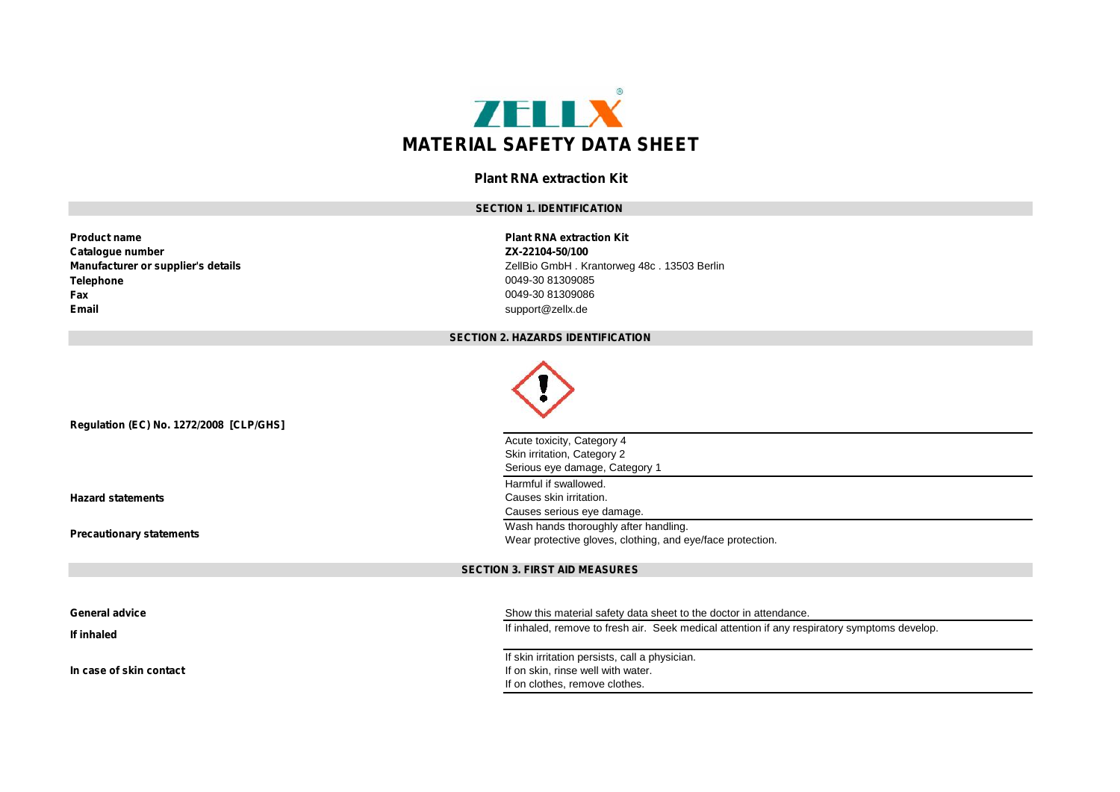

# **Plant RNA extraction Kit**

# **SECTION 1. IDENTIFICATION**

| <b>Product name</b>                | <b>Plant RNA extraction Kit</b> |
|------------------------------------|---------------------------------|
| Catalogue number                   | ZX-22104-50/100                 |
| Manufacturer or supplier's details | ZellBio GmbH, Krantorweo        |
| Telephone                          | 0049-30 81309085                |
| Fax                                | 0049-30 81309086                |
| Email                              | support@zellx.de                |

**Plant RNA extraction Kit**<br>**ZX-22104-50/100 Manufacturer or supplier's details** ZellBio GmbH . Krantorweg 48c . 13503 Berlin **Telephone** 0049-30 81309085 **Fax** 0049-30 81309086 **Email** support@zellx.de

#### **SECTION 2. HAZARDS IDENTIFICATION**

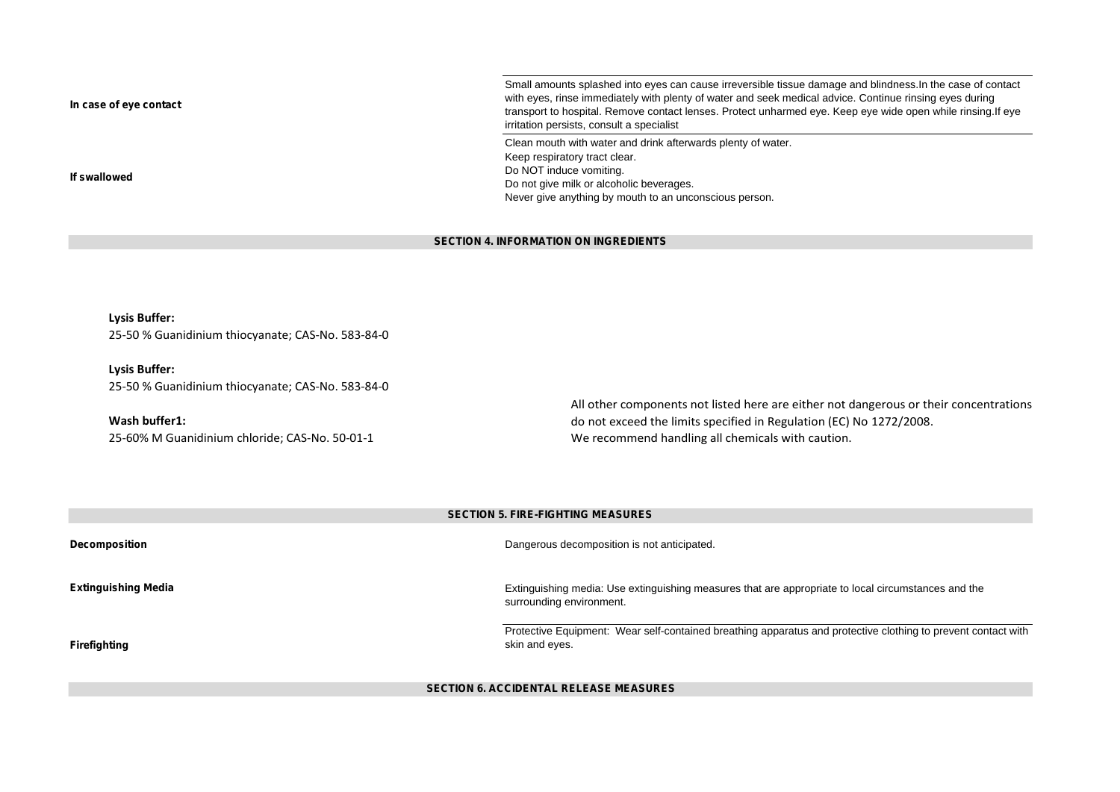**In case of eye contact** Small amounts splashed into eyes can cause irreversible tissue damage and blindness. In the case of contact with eyes, rinse immediately with plenty of water and seek medical advice. Continue rinsing eyes during transport to hospital. Remove contact lenses. Protect unharmed eye. Keep eye wide open while rinsing.If eye irritation persists, consult a specialist **If swallowed** Clean mouth with water and drink afterwards plenty of water. Keep respiratory tract clear. Do NOT induce vomiting. Do not give milk or alcoholic beverages. Never give anything by mouth to an unconscious person.

# **SECTION 4. INFORMATION ON INGREDIENTS**

**Lysis Buffer:** 25-50 % Guanidinium thiocyanate; CAS-No. 583-84-0

**Lysis Buffer:** 25-50 % Guanidinium thiocyanate; CAS-No. 583-84-0

**Wash buffer1:** 25-60% M Guanidinium chloride; CAS-No. 50-01-1 All other components not listed here are either not dangerous or their concentrations do not exceed the limits specified in Regulation (EC) No 1272/2008. We recommend handling all chemicals with caution.

|                            | <b>SECTION 5. FIRE-FIGHTING MEASURES</b>                                                                                        |
|----------------------------|---------------------------------------------------------------------------------------------------------------------------------|
| <b>Decomposition</b>       | Dangerous decomposition is not anticipated.                                                                                     |
| <b>Extinguishing Media</b> | Extinguishing media: Use extinguishing measures that are appropriate to local circumstances and the<br>surrounding environment. |
| Firefighting               | Protective Equipment: Wear self-contained breathing apparatus and protective clothing to prevent contact with<br>skin and eyes. |

### **SECTION 6. ACCIDENTAL RELEASE MEASURES**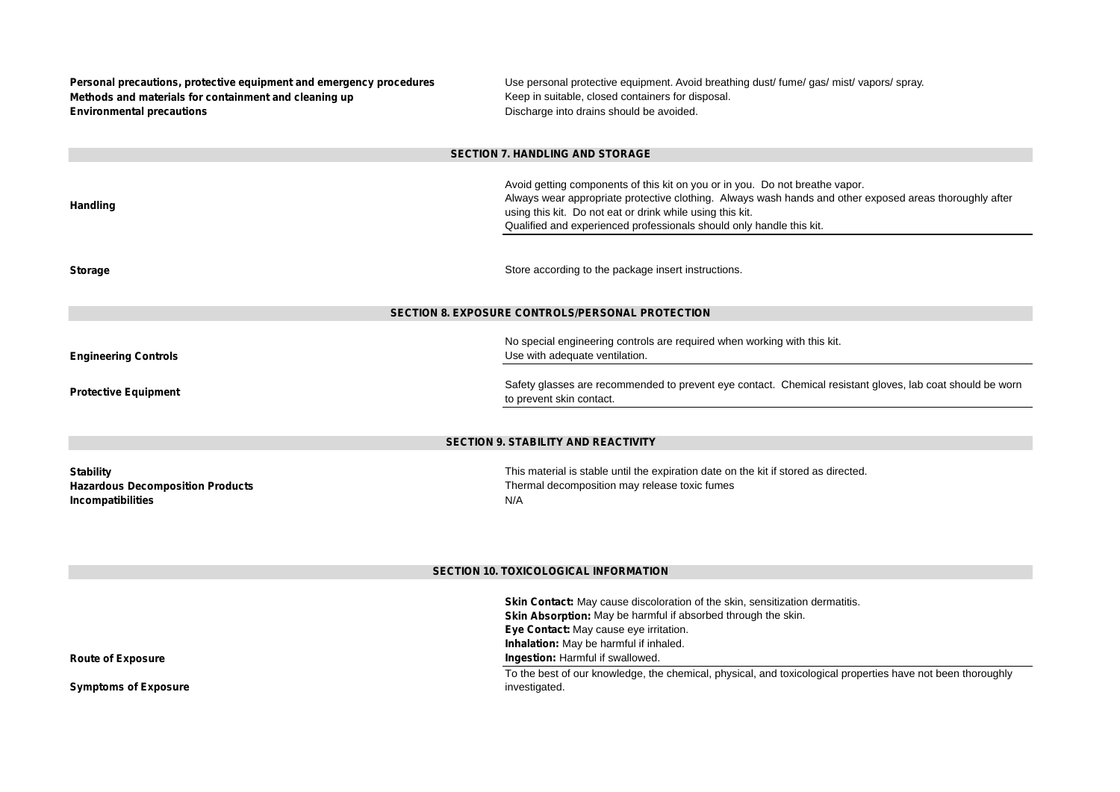| Personal precautions, protective equipment and emergency procedures<br>Methods and materials for containment and cleaning up<br><b>Environmental precautions</b> | Use personal protective equipment. Avoid breathing dust/ fume/ gas/ mist/ vapors/ spray.<br>Keep in suitable, closed containers for disposal.<br>Discharge into drains should be avoided.                                                                                                                                    |  |
|------------------------------------------------------------------------------------------------------------------------------------------------------------------|------------------------------------------------------------------------------------------------------------------------------------------------------------------------------------------------------------------------------------------------------------------------------------------------------------------------------|--|
| <b>SECTION 7. HANDLING AND STORAGE</b>                                                                                                                           |                                                                                                                                                                                                                                                                                                                              |  |
| <b>Handling</b>                                                                                                                                                  | Avoid getting components of this kit on you or in you. Do not breathe vapor.<br>Always wear appropriate protective clothing. Always wash hands and other exposed areas thoroughly after<br>using this kit. Do not eat or drink while using this kit.<br>Qualified and experienced professionals should only handle this kit. |  |
| <b>Storage</b>                                                                                                                                                   | Store according to the package insert instructions.                                                                                                                                                                                                                                                                          |  |
| SECTION 8. EXPOSURE CONTROLS/PERSONAL PROTECTION                                                                                                                 |                                                                                                                                                                                                                                                                                                                              |  |
| <b>Engineering Controls</b><br><b>Protective Equipment</b>                                                                                                       | No special engineering controls are required when working with this kit.<br>Use with adequate ventilation.<br>Safety glasses are recommended to prevent eye contact. Chemical resistant gloves, lab coat should be worn                                                                                                      |  |
|                                                                                                                                                                  | to prevent skin contact.                                                                                                                                                                                                                                                                                                     |  |
|                                                                                                                                                                  | SECTION 9. STABILITY AND REACTIVITY                                                                                                                                                                                                                                                                                          |  |
|                                                                                                                                                                  |                                                                                                                                                                                                                                                                                                                              |  |
| <b>Stability</b><br><b>Hazardous Decomposition Products</b><br><b>Incompatibilities</b>                                                                          | This material is stable until the expiration date on the kit if stored as directed.<br>Thermal decomposition may release toxic fumes<br>N/A                                                                                                                                                                                  |  |
| SECTION 10. TOXICOLOGICAL INFORMATION                                                                                                                            |                                                                                                                                                                                                                                                                                                                              |  |
|                                                                                                                                                                  | Skin Contact: May cause discoloration of the skin, sensitization dermatitis.<br>Skin Absorption: May be harmful if absorbed through the skin.<br>Eye Contact: May cause eye irritation.<br>Inhalation: May be harmful if inhaled.                                                                                            |  |
| <b>Route of Exposure</b>                                                                                                                                         | Ingestion: Harmful if swallowed.                                                                                                                                                                                                                                                                                             |  |
| <b>Symptoms of Exposure</b>                                                                                                                                      | To the best of our knowledge, the chemical, physical, and toxicological properties have not been thoroughly<br>investigated.                                                                                                                                                                                                 |  |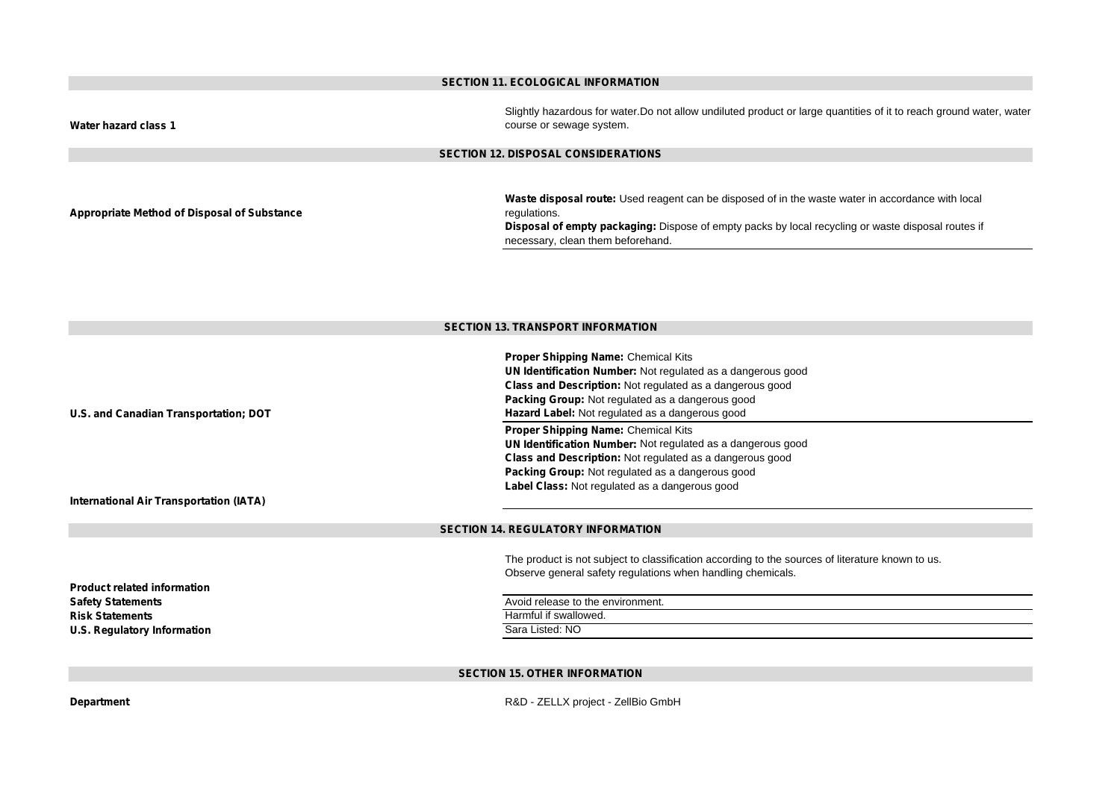#### **SECTION 11. ECOLOGICAL INFORMATION**

**Water hazard class 1**

Slightly hazardous for water.Do not allow undiluted product or large quantities of it to reach ground water, water course or sewage system.

# **SECTION 12. DISPOSAL CONSIDERATIONS**

**Appropriate Method of Disposal of Substance**

**Waste disposal route:** Used reagent can be disposed of in the waste water in accordance with local regulations.

**Disposal of empty packaging:** Dispose of empty packs by local recycling or waste disposal routes if necessary, clean them beforehand.

### **SECTION 13. TRANSPORT INFORMATION**

|                                         | <b>Proper Shipping Name: Chemical Kits</b>                                                       |
|-----------------------------------------|--------------------------------------------------------------------------------------------------|
|                                         | UN Identification Number: Not regulated as a dangerous good                                      |
|                                         | <b>Class and Description:</b> Not regulated as a dangerous good                                  |
|                                         | Packing Group: Not regulated as a dangerous good                                                 |
| U.S. and Canadian Transportation; DOT   | Hazard Label: Not regulated as a dangerous good                                                  |
|                                         | Proper Shipping Name: Chemical Kits                                                              |
|                                         | UN Identification Number: Not regulated as a dangerous good                                      |
|                                         | <b>Class and Description:</b> Not regulated as a dangerous good                                  |
|                                         | Packing Group: Not regulated as a dangerous good                                                 |
|                                         | Label Class: Not regulated as a dangerous good                                                   |
| International Air Transportation (IATA) |                                                                                                  |
|                                         |                                                                                                  |
|                                         |                                                                                                  |
|                                         | <b>SECTION 14. REGULATORY INFORMATION</b>                                                        |
|                                         |                                                                                                  |
|                                         | The product is not subject to classification according to the sources of literature known to us. |
|                                         | Observe general safety regulations when handling chemicals.                                      |
| <b>Product related information</b>      |                                                                                                  |
| <b>Safety Statements</b>                | Avoid release to the environment.                                                                |
| <b>Risk Statements</b>                  | Harmful if swallowed.                                                                            |
| U.S. Regulatory Information             | Sara Listed: NO                                                                                  |
|                                         |                                                                                                  |

# **SECTION 15. OTHER INFORMATION**

**Department** R&D - ZELLX project - ZellBio GmbH